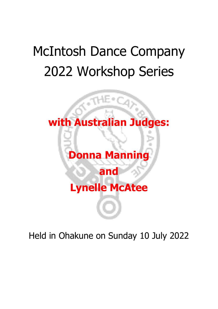# McIntosh Dance Company 2022 Workshop Series



Held in Ohakune on Sunday 10 July 2022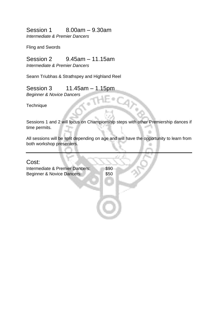Session 1 8.00am – 9.30am

*Intermediate & Premier Dancers*

Fling and Swords

# Session 2 9.45am – 11.15am

*Intermediate & Premier Dancers*

Seann Triubhas & Strathspey and Highland Reel

### Session 3 11.45am – 1.15pm

*Beginner & Novice Dancers*

**Technique** 

Sessions 1 and 2 will focus on Championship steps with other Premiership dances if time permits.

All sessions will be split depending on age and will have the opportunity to learn from both workshop presenters.

# Cost: Intermediate & Premier Dancers: \$90 Beginner & Novice Dancers: \$50